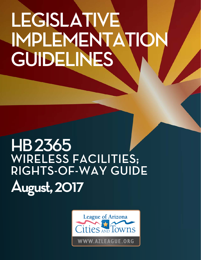# **IMPLEMENTA GUIDELINES GUIDELINES**

## **HB2365 WIRELESS FACILITIES; RIGHTS-OF-WAY GUIDE R August, 2017**

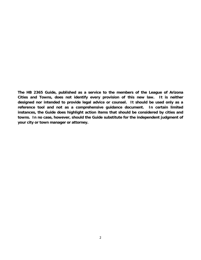**The HB 2365 Guide, published as a service to the members of the League of Arizona Cities and Towns, does not identify every provision of this new law. It is neither designed nor intended to provide legal advice or counsel. It should be used only as a reference tool and not as a comprehensive guidance document. In certain limited instances, the Guide does highlight action items that should be considered by cities and towns. In no case, however, should the Guide substitute for the independent judgment of your city or town manager or attorney.**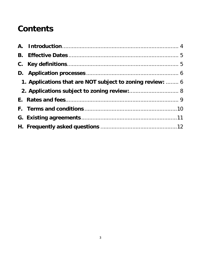### **Contents**

| 1. Applications that are NOT subject to zoning review:  6 |  |
|-----------------------------------------------------------|--|
| 2. Applications subject to zoning review: 8               |  |
|                                                           |  |
|                                                           |  |
|                                                           |  |
|                                                           |  |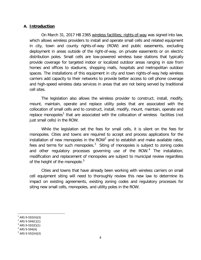#### <span id="page-3-0"></span>**A. Introduction**

On March 31, 2017 HB 2365 wireless facilities; rights-of-way was signed into law, which allows wireless providers to install and operate small cells and related equipment in city, town and county rights-of-way (ROW) and public easements, excluding deployment in areas outside of the right-of-way, on private easements or on electric distribution poles. Small cells are low-powered wireless base stations that typically provide coverage for targeted indoor or localized outdoor areas ranging in size from homes and offices to stadiums, shopping malls, hospitals and metropolitan outdoor spaces. The installations of this equipment in city and town rights-of-way help wireless carriers add capacity to their networks to provide better access to cell phone coverage and high-speed wireless data services in areas that are not being served by traditional cell sites.

The legislation also allows the wireless provider to construct, install, modify, mount, maintain, operate and replace utility poles that are associated with the collocation of small cells and to construct, install, modify, mount, maintain, operate and replace monopoles<sup>[1](#page-3-1)</sup> that are associated with the collocation of wireless facilities (not just small cells) in the ROW.

While the legislation set the fees for small cells, it is silent on the fees for monopoles. Cities and towns are required to accept and process applications for the installation of new monopoles in the ROW<sup>[2](#page-3-2)</sup> and to establish and make available rates, fees and terms for such monopoles. $3$  Siting of monopoles is subject to zoning codes and other regulatory processes governing use of the ROW.<sup>[4](#page-3-4)</sup> The installation, modification and replacement of monopoles are subject to municipal review regardless of the height of the monopole.<sup>[5](#page-3-5)</sup>

Cities and towns that have already been working with wireless carriers on small cell equipment siting will need to thoroughly review this new law to determine its impact on existing agreements, existing zoning codes and regulatory processes for siting new small cells, monopoles, and utility poles in the ROW.

<span id="page-3-1"></span> $1$  ARS 9-592(H)(3)

<span id="page-3-2"></span>ARS 9-594(C)(1)

<span id="page-3-3"></span>ARS 9-592(E)(1)

<span id="page-3-5"></span><span id="page-3-4"></span><sup>4</sup> ARS 9-594(A)

<sup>&</sup>lt;sup>5</sup> ARS 9-592(H)(3)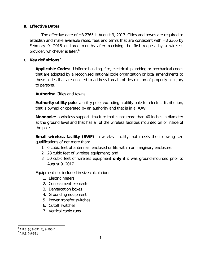#### <span id="page-4-0"></span>**B. Effective Dates**

The effective date of HB 2365 is August 9, 2017. Cities and towns are required to establish and make available rates, fees and terms that are consistent with HB 2365 by February 9, 2018 or three months after receiving the first request by a wireless provider, whichever is later. [6](#page-4-2)

#### <span id="page-4-1"></span>**C. Key definitions[7](#page-4-3)**

**Applicable Codes:** Uniform building, fire, electrical, plumbing or mechanical codes that are adopted by a recognized national code organization or local amendments to those codes that are enacted to address threats of destruction of property or injury to persons.

**Authority:** Cities and towns

**Authority utility pole**: a utility pole, excluding a utility pole for electric distribution, that is owned or operated by an authority and that is in a ROW.

**Monopole**: a wireless support structure that is not more than 40 inches in diameter at the ground level and that has all of the wireless facilities mounted on or inside of the pole.

**Small wireless facility (SWF)**: a wireless facility that meets the following size qualifications of not more than:

- 1. 6 cubic feet of antennas, enclosed or fits within an imaginary enclosure;
- 2. 28 cubic feet of wireless equipment; and
- 3. 50 cubic feet of wireless equipment **only** if it was ground-mounted prior to August 9, 2017.

Equipment not included in size calculation:

- 1. Electric meters
- 2. Concealment elements
- 3. Demarcation boxes
- 4. Grounding equipment
- 5. Power transfer switches
- 6. Cutoff switches
- 7. Vertical cable runs

<span id="page-4-3"></span><span id="page-4-2"></span> $^6$  A.R.S. §§ 9-592(E), 9-595(D)<br><sup>7</sup> A.R.S. § 9-591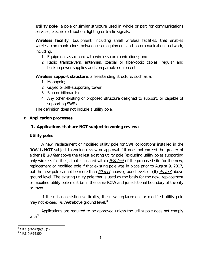**Utility pole**: a pole or similar structure used in whole or part for communications services, electric distribution, lighting or traffic signals.

**Wireless facility**: Equipment, including small wireless facilities, that enables wireless communications between user equipment and a communications network, including:

- 1. Equipment associated with wireless communications; and
- 2. Radio transceivers, antennas, coaxial or fiber-optic cables, regular and backup power supplies and comparable equipment.

**Wireless support structure**: a freestanding structure, such as a:

- 1. Monopole;
- 2. Guyed or self-supporting tower;
- 3. Sign or billboard; or
- 4. Any other existing or proposed structure designed to support, or capable of supporting SWFs.

The definition does not include a utility pole.

#### <span id="page-5-1"></span><span id="page-5-0"></span>**D. Application processes**

#### **1. Applications that are NOT subject to zoning review:**

#### **Utility poles**

A new, replacement or modified utility pole for SWF collocations installed in the ROW is **NOT** subject to zoning review or approval if it does not exceed the greater of either (i) 10 feet above the tallest existing utility pole (excluding utility poles supporting only wireless facilities), that is located within **500 feet** of the proposed site for the new, replacement or modified pole if that existing pole was in place prior to August 9, 2017, but the new pole cannot be more than 50 feet above ground level; or **(ii)** 40 feet above ground level. The existing utility pole that is used as the basis for the new, replacement or modified utility pole must be in the same ROW and jurisdictional boundary of the city or town.

If there is no existing verticality, the new, replacement or modified utility pole may not exceed 40 feet above ground level.<sup>[8](#page-5-2)</sup>

Applications are required to be approved unless the utility pole does not comply with $9$ :

<span id="page-5-2"></span> $8$  A.R.S. § 9-592(I)(1), (2)

<span id="page-5-3"></span> $^{9}$  A.R.S. § 9-592(K)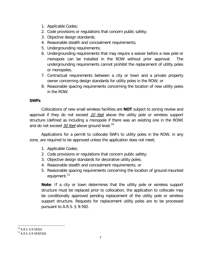- 1. Applicable Codes;
- 2. Code provisions or regulations that concern public safety;
- 3. Objective design standards;
- 4. Reasonable stealth and concealment requirements;
- 5. Undergrounding requirements;
- 6. Undergrounding requirements that may require a waiver before a new pole or monopole can be installed in the ROW without prior approval. The undergrounding requirements cannot prohibit the replacement of utility poles or monopoles.
- 7. Contractual requirements between a city or town and a private property owner concerning design standards for utility poles in the ROW; or
- 8. Reasonable spacing requirements concerning the location of new utility poles in the ROW.

#### **SWFs**

Collocations of new small wireless facilities are **NOT** subject to zoning review and approval if they do not exceed 10 feet above the utility pole or wireless support structure (defined as including a monopole if there was an existing one in the ROW) and do not exceed  $50$  feet above ground level.<sup>[10](#page-6-0)</sup>

Applications for a permit to collocate SWFs to utility poles in the ROW, in any zone, are required to be approved unless the application does not meet;

- 1. Applicable Codes;
- 2. Code provisions or regulations that concern public safety;
- 3. Objective design standards for decorative utility poles;
- 4. Reasonable stealth and concealment requirements; or
- 5. Reasonable spacing requirements concerning the location of ground-mounted equipment.<sup>[11](#page-6-1)</sup>

**Note**: If a city or town determines that the utility pole or wireless support structure must be replaced prior to collocation, the application to collocate may be conditionally approved pending replacement of the utility pole or wireless support structure. Requests for replacement utility poles are to be processed pursuant to A.R.S. § 9-592.

<span id="page-6-1"></span><span id="page-6-0"></span><sup>&</sup>lt;sup>10</sup> A.R.S. § 9-592(J)<br><sup>11</sup> A.R.S. § 9-593(F)(4)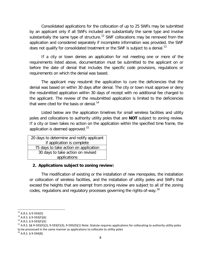Consolidated applications for the collocation of up to 25 SWFs may be submitted by an applicant only if all SWFs included are substantially the same type and involve substantially the same type of structure.<sup>[12](#page-7-1)</sup> SWF collocations may be removed from the application and considered separately if incomplete information was provided, the SWF does not qualify for consolidated treatment or the SWF is subject to a denial.<sup>[13](#page-7-2)</sup>

If a city or town denies an application for not meeting one or more of the requirements listed above, documentation must be submitted to the applicant on or before the date of denial that includes the specific code provisions, regulations or requirements on which the denial was based.

The applicant may resubmit the application to cure the deficiencies that the denial was based on within 30 days after denial. The city or town must approve or deny the resubmitted application within 30 days of receipt with no additional fee charged to the applicant. The review of the resubmitted application is limited to the deficiencies that were cited for the basis or denial.<sup>[14](#page-7-3)</sup>

Listed below are the application timelines for small wireless facilities and utility poles and collocations to authority utility poles that are **NOT** subject to zoning review. If a city or town takes no action on the application within the specified time frame, the application is deemed approved.<sup>[15](#page-7-4)</sup>

| 20 days to determine and notify applicant |  |  |
|-------------------------------------------|--|--|
| if application is complete                |  |  |
| 75 days to take action on application     |  |  |
| 30 days to take action on revised         |  |  |
| applications                              |  |  |

#### <span id="page-7-0"></span>**2. Applications subject to zoning review:**

The modification of existing or the installation of new monopoles, the installation or collocation of wireless facilities, and the installation of utility poles and SWFs that exceed the heights that are exempt from zoning review are subject to all of the zoning codes, regulations and regulatory processes governing the rights-of-way.[16](#page-7-5)

<span id="page-7-1"></span> $12$  A.R.S. § 9-593(D)

<span id="page-7-2"></span> $13$  A.R.S. § 9-593(F)(6)

<span id="page-7-3"></span> $14$  A.R.S. § 9-593(F)(5)

<span id="page-7-4"></span><sup>&</sup>lt;sup>15</sup> A.R.S. §§ 9-593(F)(2), 9-593(F)(3), 9-595(D)(1) Note: Statute requires applications for collocating to authority utility poles to be processed in the same manner as applications to collocate to utility poles

<span id="page-7-5"></span> $16$  A.R.S. § 9-594(B)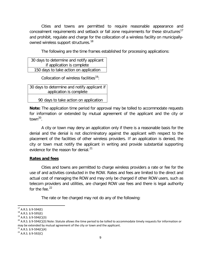Cities and towns are permitted to require reasonable appearance and concealment requirements and setback or fall zone requirements for these structures<sup>[17](#page-8-1)</sup> and prohibit, regulate and charge for the collocation of a wireless facility on municipally-owned wireless support structures.<sup>[18](#page-8-2)</sup>

The following are the time frames established for processing applications:

| 30 days to determine and notify applicant |  |  |
|-------------------------------------------|--|--|
| if application is complete                |  |  |
| 150 days to take action on application    |  |  |

Collocation of wireless facilities<sup>19</sup>:

| 30 days to determine and notify applicant if |
|----------------------------------------------|
| application is complete                      |
| 90 days to take action on application        |

**Note:** The application time period for approval may be tolled to accommodate requests for information or extended by mutual agreement of the applicant and the city or town $^{20}$  $^{20}$  $^{20}$ .

A city or town may deny an application only if there is a reasonable basis for the denial and the denial is not discriminatory against the applicant with respect to the placement of the facilities of other wireless providers. If an application is denied, the city or town must notify the applicant in writing and provide substantial supporting evidence for the reason for denial. $^{21}$  $^{21}$  $^{21}$ 

#### <span id="page-8-0"></span>**Rates and fees**

Cities and towns are permitted to charge wireless providers a rate or fee for the use of and activities conducted in the ROW. Rates and fees are limited to the direct and actual cost of managing the ROW and may only be charged if other ROW users, such as telecom providers and utilities, are charged ROW use fees and there is legal authority for the fee. $22$ 

The rate or fee charged may not do any of the following:

 $17$  A.R.S. § 9-594(E)

<span id="page-8-2"></span><span id="page-8-1"></span> $18$  A.R.S. § 9-595(E)

<span id="page-8-3"></span> $19$  A.R.S. § 9-594(C)(3)

<span id="page-8-4"></span><sup>&</sup>lt;sup>20</sup> A.R.S. § 9-594(C)(3) Note: Statute allows the time period to be tolled to accommodate timely requests for information or may be extended by mutual agreement of the city or town and the applicant.

<span id="page-8-5"></span> $21$  A.R.S. § 9-594(C)(4)

<span id="page-8-6"></span> $22$  A.R.S. § 9-592(C)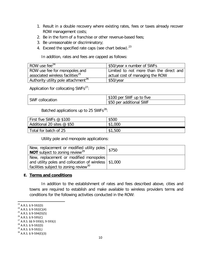- 1. Result in a double recovery where existing rates, fees or taxes already recover ROW management costs;
- 2. Be in the form of a franchise or other revenue-based fees;
- 3. Be unreasonable or discriminatory;
- 4. Exceed the specified rate caps (see chart below).<sup>[23](#page-9-1)</sup>

In addition, rates and fees are capped as follows:

| ROW use fee $^{24}$                             | \$50/year x number of SWFs              |
|-------------------------------------------------|-----------------------------------------|
| ROW use fee for monopoles and                   | Limited to not more than the direct and |
| associated wireless facilities <sup>25</sup>    | actual cost of managing the ROW         |
| Authority utility pole attachment <sup>26</sup> | \$50/year                               |

Application for collocating SWFs $^{27}$ :

|                 | S100 per SWF up to five |
|-----------------|-------------------------|
| SWF collocation | \$50 per additional SWF |

Batched applications up to 25 SWFs $^{28}$ :

| First five SWFs @ \$100      | \$500       |
|------------------------------|-------------|
| Additional 20 sites $@$ \$50 | ,000<br>\$1 |
| Total for batch of 25        | ,500<br>\$1 |

Utility pole and monopole applications:

| New, replacement or modified utility poles $ $ \$750<br><b>NOT</b> subject to zoning review <sup>29</sup> |  |
|-----------------------------------------------------------------------------------------------------------|--|
| New, replacement or modified monopoles                                                                    |  |
| and utility poles and collocation of wireless   \$1,000                                                   |  |
| facilities subject to zoning review <sup>30</sup>                                                         |  |

#### <span id="page-9-0"></span>**E. Terms and conditions**

In addition to the establishment of rates and fees described above, cities and towns are required to establish and make available to wireless providers terms and conditions for the following activities conducted in the ROW:

<span id="page-9-4"></span> $^{26}$  A.R.S. § 9-595(C)

<span id="page-9-1"></span><sup>&</sup>lt;sup>23</sup> A.R.S. § 9-592(D)<br><sup>24</sup> A.R.S. § 9-592(C)(4)

<span id="page-9-3"></span><span id="page-9-2"></span> $25$  A.R.S. § 9-594(D)(5)

<span id="page-9-5"></span><sup>27</sup> A.R.S. §§ 9-593(I), 9-593(J)

<span id="page-9-6"></span><sup>28</sup> A.R.S. § 9-592(D)

<span id="page-9-8"></span><span id="page-9-7"></span><sup>&</sup>lt;sup>29</sup> A.R.S. § 9-592(L)<br><sup>30</sup> A.R.S. § 9-594(E)(3)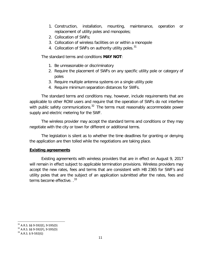- 1. Construction, installation, mounting, maintenance, operation or replacement of utility poles and monopoles;
- 2. Collocation of SWFs;
- 3. Collocation of wireless facilities on or within a monopole
- 4. Collocation of SWFs on authority utility poles.<sup>[31](#page-10-2)</sup>

The standard terms and conditions **MAY NOT**:

- 1. Be unreasonable or discriminatory
- 2. Require the placement of SWFs on any specific utility pole or category of poles
- 3. Require multiple antenna systems on a single utility pole
- <span id="page-10-0"></span>4. Require minimum separation distances for SWFs.

The standard terms and conditions may, however, include requirements that are applicable to other ROW users and require that the operation of SWFs do not interfere with public safety communications.<sup>[32](#page-10-3)</sup> The terms must reasonably accommodate power supply and electric metering for the SWF.

The wireless provider may accept the standard terms and conditions or they may negotiate with the city or town for different or additional terms.

The legislation is silent as to whether the time deadlines for granting or denying the application are then tolled while the negotiations are taking place.

#### **Existing agreements**

<span id="page-10-1"></span>Existing agreements with wireless providers that are in effect on August 9, 2017 will remain in effect subject to applicable termination provisions. Wireless providers may accept the new rates, fees and terms that are consistent with HB 2365 for SWF's and utility poles that are the subject of an application submitted after the rates, fees and terms become effective. .<sup>[33](#page-10-4)</sup>

 $31$  A.R.S. §§ 9-592(E), 9-595(D)

<span id="page-10-3"></span><span id="page-10-2"></span><sup>32</sup> A.R.S. §§ 9-592(F), 9-595(D)

<span id="page-10-4"></span> $33$  A.R.S. § 9-592(G)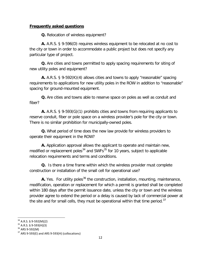#### **Frequently asked questions**

**Q.** Relocation of wireless equipment?

**A.** A.R.S. § 9-596(D) requires wireless equipment to be relocated at no cost to the city or town in order to accommodate a public project but does not specify any particular type of project.

**Q.** Are cities and towns permitted to apply spacing requirements for siting of new utility poles and equipment?

**A.** A.R.S. § 9-592(K)(4) allows cities and towns to apply "reasonable" spacing requirements to applications for new utility poles in the ROW in addition to "reasonable" spacing for ground-mounted equipment.

**Q.** Are cities and towns able to reserve space on poles as well as conduit and fiber?

**A.** A.R.S. § 9-593(G)(1) prohibits cities and towns from requiring applicants to reserve conduit, fiber or pole space on a wireless provider's pole for the city or town. There is no similar prohibition for municipally-owned poles.

**Q.** What period of time does the new law provide for wireless providers to operate their equipment in the ROW?

**A.** Application approval allows the applicant to operate and maintain new, modified or replacement poles<sup>[34](#page-11-0)</sup> and SWFs<sup>[35](#page-11-1)</sup> for 10 years, subject to applicable relocation requirements and terms and conditions.

**Q.** Is there a time frame within which the wireless provider must complete construction or installation of the small cell for operational use?

**A.** Yes. For utility poles<sup>[36](#page-11-2)</sup> the construction, installation, mounting, maintenance, modification, operation or replacement for which a permit is granted shall be completed within 180 days after the permit issuance date, unless the city or town and the wireless provider agree to extend the period or a delay is caused by lack of commercial power at the site and for small cells, they must be operational within that time period. $37$ 

<span id="page-11-0"></span> $34$  A.R.S. § 9-592(M)(2)

<span id="page-11-1"></span> $35$  A.R.S. § 9-593(H)(3)<br> $36$  ARS 9-592(M)

<span id="page-11-3"></span><span id="page-11-2"></span> $37$  ARS 9-593(E) and ARS 9-593(H) (collocations)